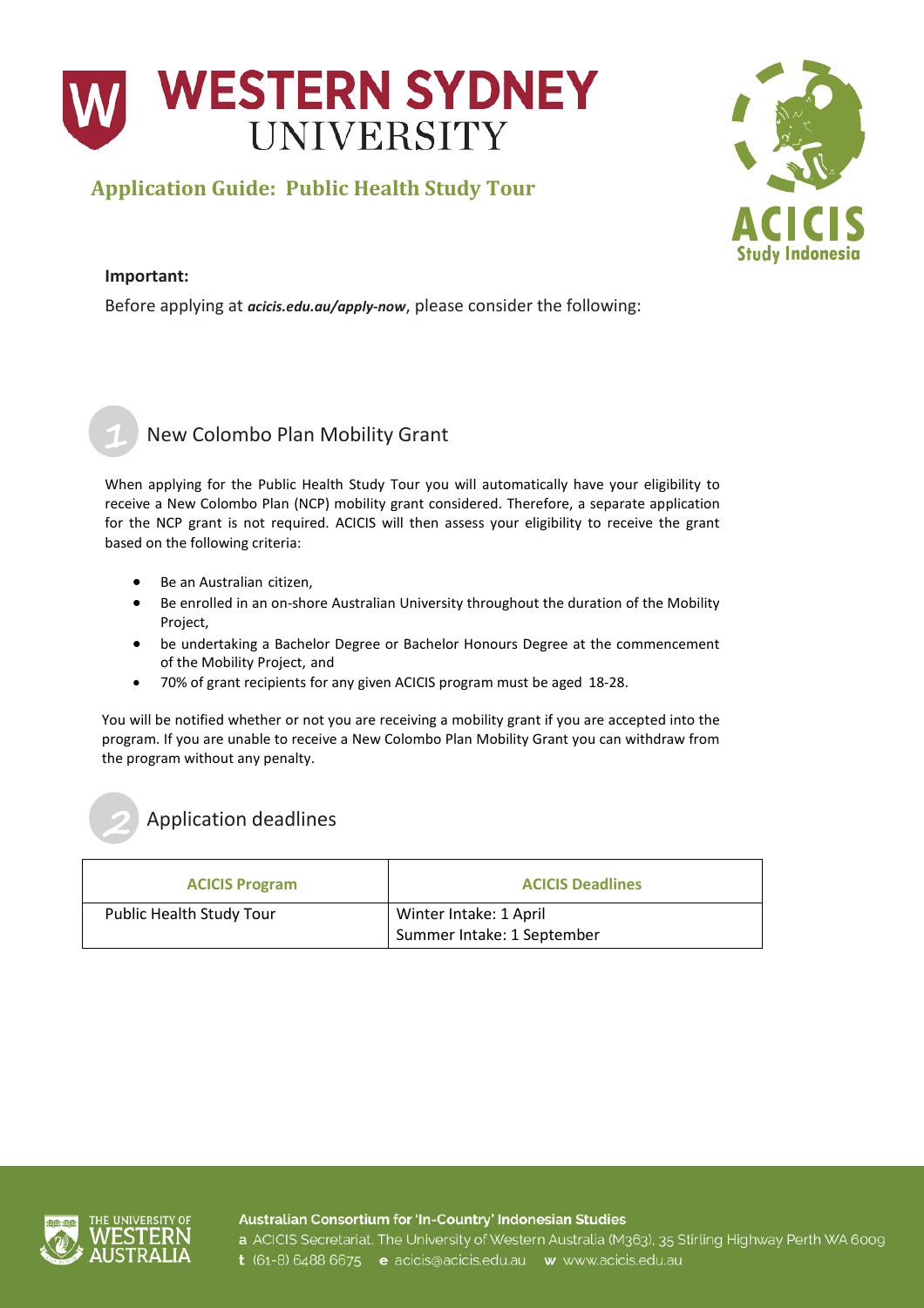

## **Application Guide: Public Health Study Tour**



#### **Important:**

Before applying at *[acicis.edu.au/apply-now](http://acicis.edu.au/apply-now)*, please consider the following:



### New Colombo Plan Mobility Grant

When applying for the Public Health Study Tour you will automatically have your eligibility to receive a New Colombo Plan (NCP) mobility grant considered. Therefore, a separate application for the NCP grant is not required. ACICIS will then assess your eligibility to receive the grant based on the following criteria:

- Be an Australian citizen,
- Be enrolled in an on-shore Australian University throughout the duration of the Mobility Project,
- be undertaking a Bachelor Degree or Bachelor Honours Degree at the commencement of the Mobility Project, and
- 70% of grant recipients for any given ACICIS program must be aged 18-28.

You will be notified whether or not you are receiving a mobility grant if you are accepted into the program. If you are unable to receive a New Colombo Plan Mobility Grant you can withdraw from the program without any penalty.

## Application deadlines

| <b>ACICIS Program</b>           | <b>ACICIS Deadlines</b>                              |
|---------------------------------|------------------------------------------------------|
| <b>Public Health Study Tour</b> | Winter Intake: 1 April<br>Summer Intake: 1 September |



2

Australian Consortium for 'In-Country' Indonesian Studies

a ACICIS Secretariat, The University of Western Australia (M363), 35 Stirling Highway Perth WA 6009 t (61-8) 6488 6675 e acicis@acicis.edu.au w www.acicis.edu.au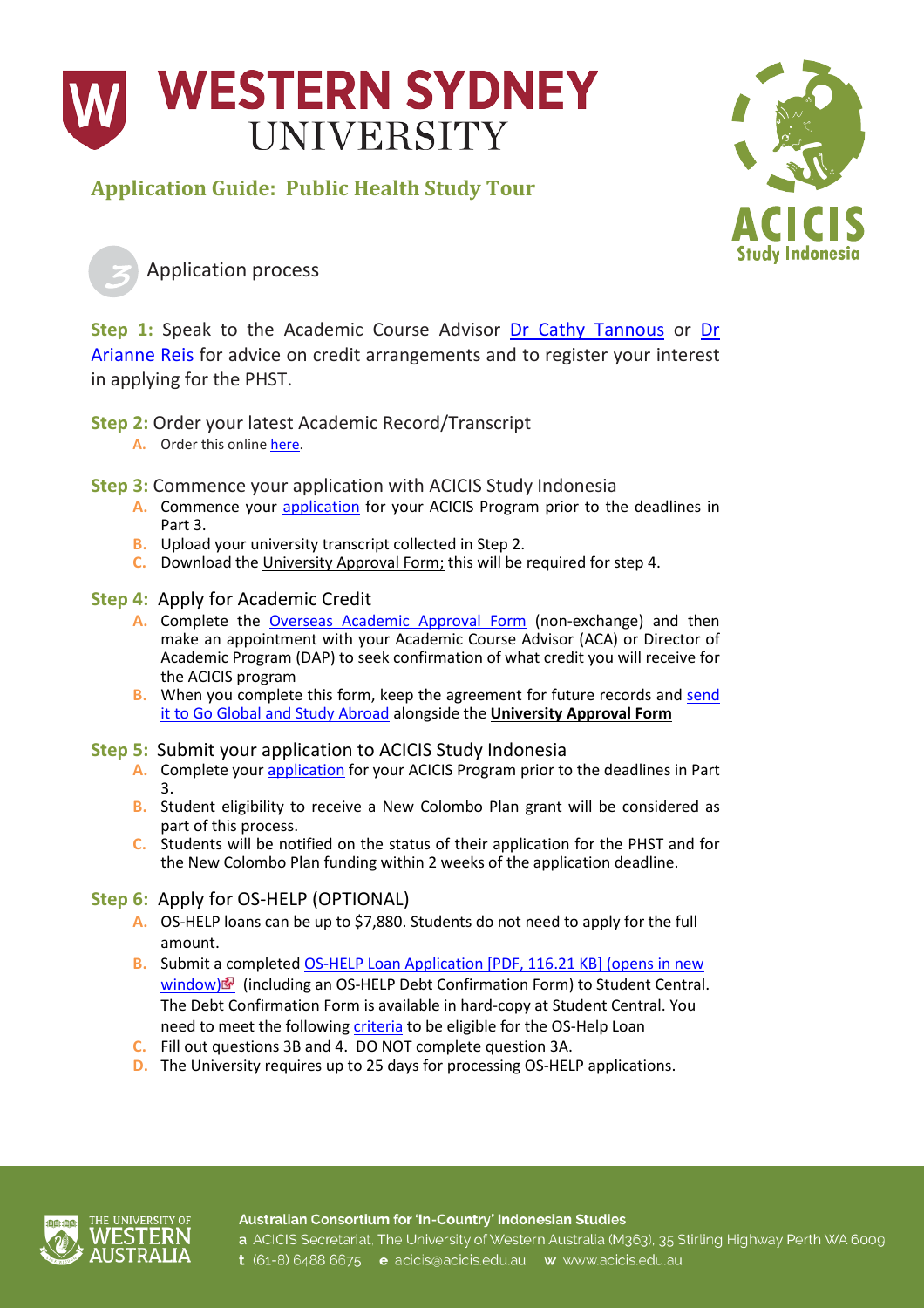

## **Application Guide: Public Health Study Tour**



Application process

**Step 1:** Speak to the Academic Course Advisor Dr [Cathy Tannous](https://www.westernsydney.edu.au/staff_profiles/uws_profiles/mrs_caterina_tannous) or Dr [Arianne Reis](https://www.westernsydney.edu.au/staff_profiles/uws_profiles/doctor_arianne_reis) for advice on credit arrangements and to register your interest in applying for the PHST.

**Step 2:** Order your latest Academic Record/Transcript

**A.** Order this onlin[e here.](https://www.westernsydney.edu.au/graduation_ceremonies/graduating/documents/academic_transcript)

**Step 3:** Commence your application with ACICIS Study Indonesia

- **A.** Commence your [application](http://www.acicis.edu.au/apply-now/) for your ACICIS Program prior to the deadlines in Part 3.
- **B.** Upload your university transcript collected in Step 2.
- **C.** Download the University Approval Form; this will be required for step 4.
- **Step 4:** Apply for Academic Credit
	- A. Complete the **[Overseas Academic Approval Form](https://www.westernsydney.edu.au/globalmobility/goglobal/home/apply_to_go/academic_approval_non-exchange)** (non-exchange) and then make an appointment with your Academic Course Advisor (ACA) or Director of Academic Program (DAP) to seek confirmation of what credit you will receive for the ACICIS program
	- **B.** When you complete this form, keep the agreement for future records and send [it to Go Global and Study Abroad](mailto:goglobal@westernsydney.edu.au?subject=Academic%20Approval%20Form%20for%20ACICIS%20program) alongside the **University Approval Form**

### **Step 5:** Submit your application to ACICIS Study Indonesia

- **A.** Complete your [application](http://www.acicis.edu.au/apply-now/) for your ACICIS Program prior to the deadlines in Part 3.
- **B.** Student eligibility to receive a New Colombo Plan grant will be considered as part of this process.
- **C.** Students will be notified on the status of their application for the PHST and for the New Colombo Plan funding within 2 weeks of the application deadline.

### **Step 6:** Apply for OS-HELP (OPTIONAL)

- **A.** OS-HELP loans can be up to \$7,880. Students do not need to apply for the full amount.
- **B.** Submit a completed [OS-HELP Loan Application \[PDF, 116.21 KB\]](https://www.westernsydney.edu.au/__data/assets/pdf_file/0010/199180/00200_0916_OS-HELP_Assistance_Application-Web.pdf) (opens in new [window\)](https://www.westernsydney.edu.au/__data/assets/pdf_file/0010/199180/00200_0916_OS-HELP_Assistance_Application-Web.pdf) (including an OS-HELP Debt Confirmation Form) to Student Central. The Debt Confirmation Form is available in hard-copy at Student Central. You need to meet the followin[g criteria](https://logincms.westernsydney.edu.au/currentstudents/current_students/fees/commonwealth_supported_students/hecs_help/os-help) to be eligible for the OS-Help Loan
- **C.** Fill out questions 3B and 4. DO NOT complete question 3A.
- **D.** The University requires up to 25 days for processing OS-HELP applications.